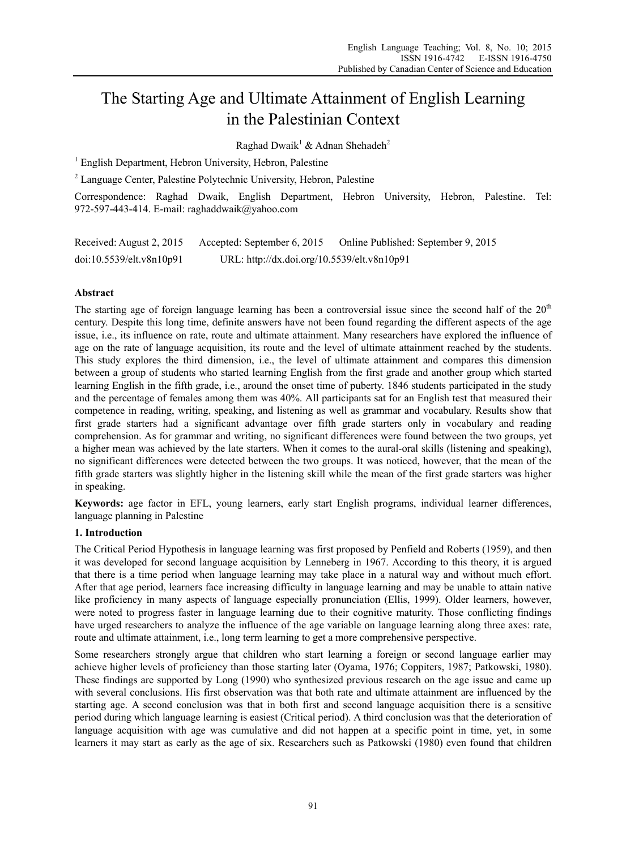# The Starting Age and Ultimate Attainment of English Learning in the Palestinian Context

Raghad Dwaik<sup>1</sup> & Adnan Shehadeh<sup>2</sup>

<sup>1</sup> English Department, Hebron University, Hebron, Palestine

<sup>2</sup> Language Center, Palestine Polytechnic University, Hebron, Palestine

Correspondence: Raghad Dwaik, English Department, Hebron University, Hebron, Palestine. Tel: 972-597-443-414. E-mail: raghaddwaik@yahoo.com

| Received: August 2, 2015 | Accepted: September 6, 2015                 | Online Published: September 9, 2015 |
|--------------------------|---------------------------------------------|-------------------------------------|
| doi:10.5539/elt.v8n10p91 | URL: http://dx.doi.org/10.5539/elt.v8n10p91 |                                     |

# **Abstract**

The starting age of foreign language learning has been a controversial issue since the second half of the  $20<sup>th</sup>$ century. Despite this long time, definite answers have not been found regarding the different aspects of the age issue, i.e., its influence on rate, route and ultimate attainment. Many researchers have explored the influence of age on the rate of language acquisition, its route and the level of ultimate attainment reached by the students. This study explores the third dimension, i.e., the level of ultimate attainment and compares this dimension between a group of students who started learning English from the first grade and another group which started learning English in the fifth grade, i.e., around the onset time of puberty. 1846 students participated in the study and the percentage of females among them was 40%. All participants sat for an English test that measured their competence in reading, writing, speaking, and listening as well as grammar and vocabulary. Results show that first grade starters had a significant advantage over fifth grade starters only in vocabulary and reading comprehension. As for grammar and writing, no significant differences were found between the two groups, yet a higher mean was achieved by the late starters. When it comes to the aural-oral skills (listening and speaking), no significant differences were detected between the two groups. It was noticed, however, that the mean of the fifth grade starters was slightly higher in the listening skill while the mean of the first grade starters was higher in speaking.

**Keywords:** age factor in EFL, young learners, early start English programs, individual learner differences, language planning in Palestine

## **1. Introduction**

The Critical Period Hypothesis in language learning was first proposed by Penfield and Roberts (1959), and then it was developed for second language acquisition by Lenneberg in 1967. According to this theory, it is argued that there is a time period when language learning may take place in a natural way and without much effort. After that age period, learners face increasing difficulty in language learning and may be unable to attain native like proficiency in many aspects of language especially pronunciation (Ellis, 1999). Older learners, however, were noted to progress faster in language learning due to their cognitive maturity. Those conflicting findings have urged researchers to analyze the influence of the age variable on language learning along three axes: rate, route and ultimate attainment, i.e., long term learning to get a more comprehensive perspective.

Some researchers strongly argue that children who start learning a foreign or second language earlier may achieve higher levels of proficiency than those starting later (Oyama, 1976; Coppiters, 1987; Patkowski, 1980). These findings are supported by Long (1990) who synthesized previous research on the age issue and came up with several conclusions. His first observation was that both rate and ultimate attainment are influenced by the starting age. A second conclusion was that in both first and second language acquisition there is a sensitive period during which language learning is easiest (Critical period). A third conclusion was that the deterioration of language acquisition with age was cumulative and did not happen at a specific point in time, yet, in some learners it may start as early as the age of six. Researchers such as Patkowski (1980) even found that children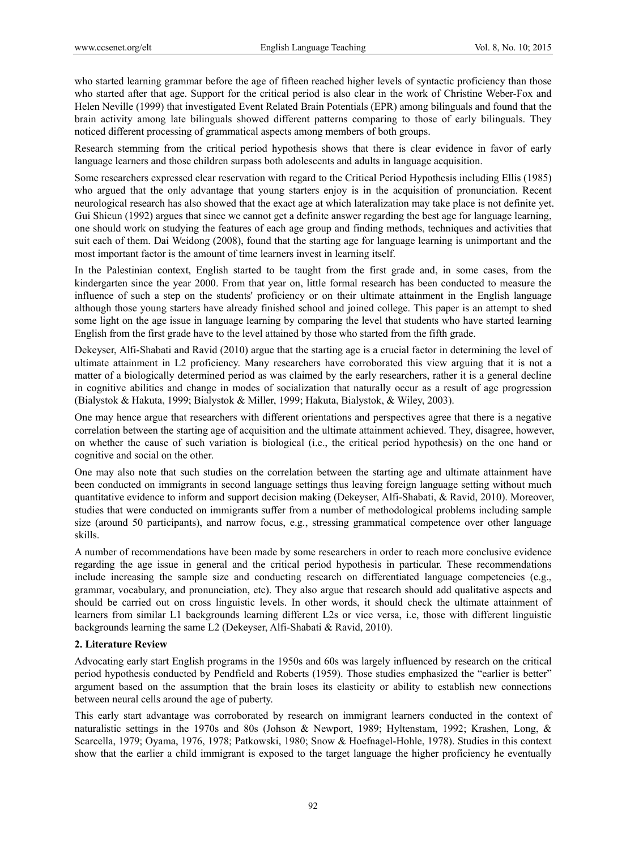who started learning grammar before the age of fifteen reached higher levels of syntactic proficiency than those who started after that age. Support for the critical period is also clear in the work of Christine Weber-Fox and Helen Neville (1999) that investigated Event Related Brain Potentials (EPR) among bilinguals and found that the brain activity among late bilinguals showed different patterns comparing to those of early bilinguals. They noticed different processing of grammatical aspects among members of both groups.

Research stemming from the critical period hypothesis shows that there is clear evidence in favor of early language learners and those children surpass both adolescents and adults in language acquisition.

Some researchers expressed clear reservation with regard to the Critical Period Hypothesis including Ellis (1985) who argued that the only advantage that young starters enjoy is in the acquisition of pronunciation. Recent neurological research has also showed that the exact age at which lateralization may take place is not definite yet. Gui Shicun (1992) argues that since we cannot get a definite answer regarding the best age for language learning, one should work on studying the features of each age group and finding methods, techniques and activities that suit each of them. Dai Weidong (2008), found that the starting age for language learning is unimportant and the most important factor is the amount of time learners invest in learning itself.

In the Palestinian context, English started to be taught from the first grade and, in some cases, from the kindergarten since the year 2000. From that year on, little formal research has been conducted to measure the influence of such a step on the students' proficiency or on their ultimate attainment in the English language although those young starters have already finished school and joined college. This paper is an attempt to shed some light on the age issue in language learning by comparing the level that students who have started learning English from the first grade have to the level attained by those who started from the fifth grade.

Dekeyser, Alfi-Shabati and Ravid (2010) argue that the starting age is a crucial factor in determining the level of ultimate attainment in L2 proficiency. Many researchers have corroborated this view arguing that it is not a matter of a biologically determined period as was claimed by the early researchers, rather it is a general decline in cognitive abilities and change in modes of socialization that naturally occur as a result of age progression (Bialystok & Hakuta, 1999; Bialystok & Miller, 1999; Hakuta, Bialystok, & Wiley, 2003).

One may hence argue that researchers with different orientations and perspectives agree that there is a negative correlation between the starting age of acquisition and the ultimate attainment achieved. They, disagree, however, on whether the cause of such variation is biological (i.e., the critical period hypothesis) on the one hand or cognitive and social on the other.

One may also note that such studies on the correlation between the starting age and ultimate attainment have been conducted on immigrants in second language settings thus leaving foreign language setting without much quantitative evidence to inform and support decision making (Dekeyser, Alfi-Shabati, & Ravid, 2010). Moreover, studies that were conducted on immigrants suffer from a number of methodological problems including sample size (around 50 participants), and narrow focus, e.g., stressing grammatical competence over other language skills.

A number of recommendations have been made by some researchers in order to reach more conclusive evidence regarding the age issue in general and the critical period hypothesis in particular. These recommendations include increasing the sample size and conducting research on differentiated language competencies (e.g., grammar, vocabulary, and pronunciation, etc). They also argue that research should add qualitative aspects and should be carried out on cross linguistic levels. In other words, it should check the ultimate attainment of learners from similar L1 backgrounds learning different L2s or vice versa, i.e, those with different linguistic backgrounds learning the same L2 (Dekeyser, Alfi-Shabati & Ravid, 2010).

## **2. Literature Review**

Advocating early start English programs in the 1950s and 60s was largely influenced by research on the critical period hypothesis conducted by Pendfield and Roberts (1959). Those studies emphasized the "earlier is better" argument based on the assumption that the brain loses its elasticity or ability to establish new connections between neural cells around the age of puberty.

This early start advantage was corroborated by research on immigrant learners conducted in the context of naturalistic settings in the 1970s and 80s (Johson & Newport, 1989; Hyltenstam, 1992; Krashen, Long, & Scarcella, 1979; Oyama, 1976, 1978; Patkowski, 1980; Snow & Hoefnagel-Hohle, 1978). Studies in this context show that the earlier a child immigrant is exposed to the target language the higher proficiency he eventually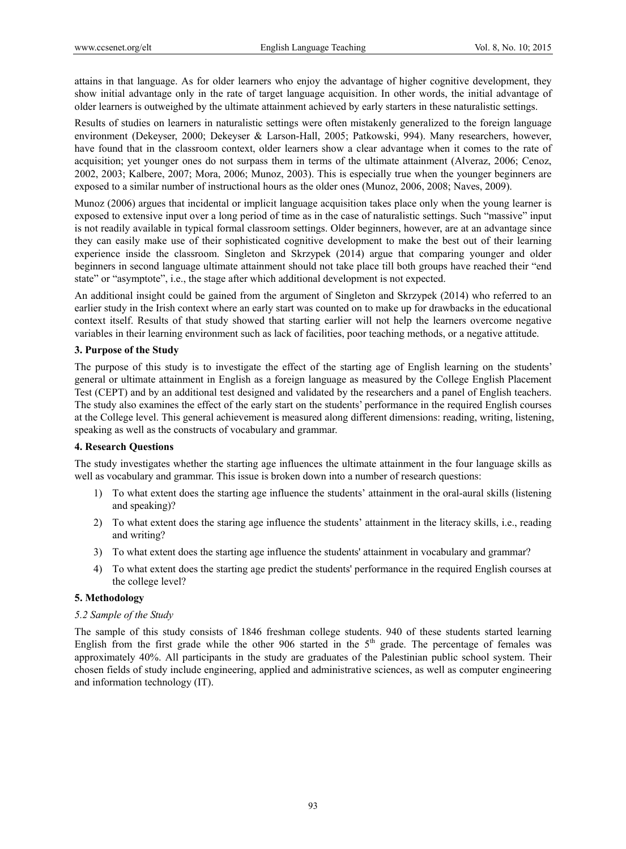attains in that language. As for older learners who enjoy the advantage of higher cognitive development, they show initial advantage only in the rate of target language acquisition. In other words, the initial advantage of older learners is outweighed by the ultimate attainment achieved by early starters in these naturalistic settings.

Results of studies on learners in naturalistic settings were often mistakenly generalized to the foreign language environment (Dekeyser, 2000; Dekeyser & Larson-Hall, 2005; Patkowski, 994). Many researchers, however, have found that in the classroom context, older learners show a clear advantage when it comes to the rate of acquisition; yet younger ones do not surpass them in terms of the ultimate attainment (Alveraz, 2006; Cenoz, 2002, 2003; Kalbere, 2007; Mora, 2006; Munoz, 2003). This is especially true when the younger beginners are exposed to a similar number of instructional hours as the older ones (Munoz, 2006, 2008; Naves, 2009).

Munoz (2006) argues that incidental or implicit language acquisition takes place only when the young learner is exposed to extensive input over a long period of time as in the case of naturalistic settings. Such "massive" input is not readily available in typical formal classroom settings. Older beginners, however, are at an advantage since they can easily make use of their sophisticated cognitive development to make the best out of their learning experience inside the classroom. Singleton and Skrzypek (2014) argue that comparing younger and older beginners in second language ultimate attainment should not take place till both groups have reached their "end state" or "asymptote", i.e., the stage after which additional development is not expected.

An additional insight could be gained from the argument of Singleton and Skrzypek (2014) who referred to an earlier study in the Irish context where an early start was counted on to make up for drawbacks in the educational context itself. Results of that study showed that starting earlier will not help the learners overcome negative variables in their learning environment such as lack of facilities, poor teaching methods, or a negative attitude.

## **3. Purpose of the Study**

The purpose of this study is to investigate the effect of the starting age of English learning on the students' general or ultimate attainment in English as a foreign language as measured by the College English Placement Test (CEPT) and by an additional test designed and validated by the researchers and a panel of English teachers. The study also examines the effect of the early start on the students' performance in the required English courses at the College level. This general achievement is measured along different dimensions: reading, writing, listening, speaking as well as the constructs of vocabulary and grammar.

## **4. Research Questions**

The study investigates whether the starting age influences the ultimate attainment in the four language skills as well as vocabulary and grammar. This issue is broken down into a number of research questions:

- 1) To what extent does the starting age influence the students' attainment in the oral-aural skills (listening and speaking)?
- 2) To what extent does the staring age influence the students' attainment in the literacy skills, i.e., reading and writing?
- 3) To what extent does the starting age influence the students' attainment in vocabulary and grammar?
- 4) To what extent does the starting age predict the students' performance in the required English courses at the college level?

## **5. Methodology**

## *5.2 Sample of the Study*

The sample of this study consists of 1846 freshman college students. 940 of these students started learning English from the first grade while the other 906 started in the  $5<sup>th</sup>$  grade. The percentage of females was approximately 40%. All participants in the study are graduates of the Palestinian public school system. Their chosen fields of study include engineering, applied and administrative sciences, as well as computer engineering and information technology (IT).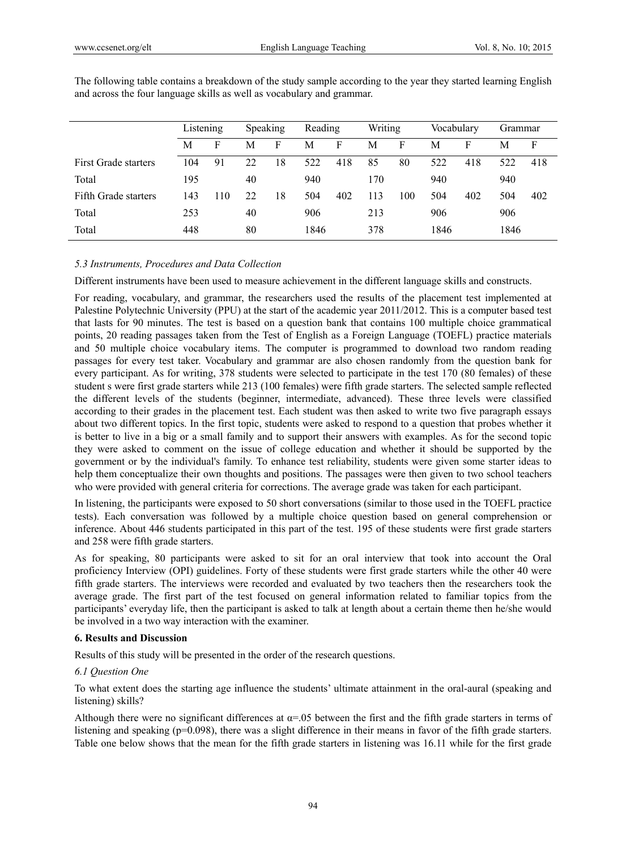|                      | Listening |     | Reading<br>Speaking |    | Writing |     | Vocabularv |    | Grammar |     |      |     |
|----------------------|-----------|-----|---------------------|----|---------|-----|------------|----|---------|-----|------|-----|
|                      | M         | F   | M                   | F  | M       | F   | М          | F  | М       | F   | M    | F   |
| First Grade starters | 104       | 91  | 22                  | 18 | 522     | 418 | 85         | 80 | 522     | 418 | 522  | 418 |
| Total                | 195       |     | 40                  |    | 940     |     | 170        |    | 940     |     | 940  |     |
| Fifth Grade starters | 143       | 110 | 22                  | 18 | 504     | 402 | 113        | 00 | 504     | 402 | 504  | 402 |
| Total                | 253       |     | 40                  |    | 906     |     | 213        |    | 906     |     | 906  |     |
| Total                | 448       |     | 80                  |    | 1846    |     | 378        |    | 1846    |     | 1846 |     |

The following table contains a breakdown of the study sample according to the year they started learning English and across the four language skills as well as vocabulary and grammar.

## *5.3 Instruments, Procedures and Data Collection*

Different instruments have been used to measure achievement in the different language skills and constructs.

For reading, vocabulary, and grammar, the researchers used the results of the placement test implemented at Palestine Polytechnic University (PPU) at the start of the academic year 2011/2012. This is a computer based test that lasts for 90 minutes. The test is based on a question bank that contains 100 multiple choice grammatical points, 20 reading passages taken from the Test of English as a Foreign Language (TOEFL) practice materials and 50 multiple choice vocabulary items. The computer is programmed to download two random reading passages for every test taker. Vocabulary and grammar are also chosen randomly from the question bank for every participant. As for writing, 378 students were selected to participate in the test 170 (80 females) of these student s were first grade starters while 213 (100 females) were fifth grade starters. The selected sample reflected the different levels of the students (beginner, intermediate, advanced). These three levels were classified according to their grades in the placement test. Each student was then asked to write two five paragraph essays about two different topics. In the first topic, students were asked to respond to a question that probes whether it is better to live in a big or a small family and to support their answers with examples. As for the second topic they were asked to comment on the issue of college education and whether it should be supported by the government or by the individual's family. To enhance test reliability, students were given some starter ideas to help them conceptualize their own thoughts and positions. The passages were then given to two school teachers who were provided with general criteria for corrections. The average grade was taken for each participant.

In listening, the participants were exposed to 50 short conversations (similar to those used in the TOEFL practice tests). Each conversation was followed by a multiple choice question based on general comprehension or inference. About 446 students participated in this part of the test. 195 of these students were first grade starters and 258 were fifth grade starters.

As for speaking, 80 participants were asked to sit for an oral interview that took into account the Oral proficiency Interview (OPI) guidelines. Forty of these students were first grade starters while the other 40 were fifth grade starters. The interviews were recorded and evaluated by two teachers then the researchers took the average grade. The first part of the test focused on general information related to familiar topics from the participants' everyday life, then the participant is asked to talk at length about a certain theme then he/she would be involved in a two way interaction with the examiner.

## **6. Results and Discussion**

Results of this study will be presented in the order of the research questions.

#### *6.1 Question One*

To what extent does the starting age influence the students' ultimate attainment in the oral-aural (speaking and listening) skills?

Although there were no significant differences at  $\alpha$ =.05 between the first and the fifth grade starters in terms of listening and speaking (p=0.098), there was a slight difference in their means in favor of the fifth grade starters. Table one below shows that the mean for the fifth grade starters in listening was 16.11 while for the first grade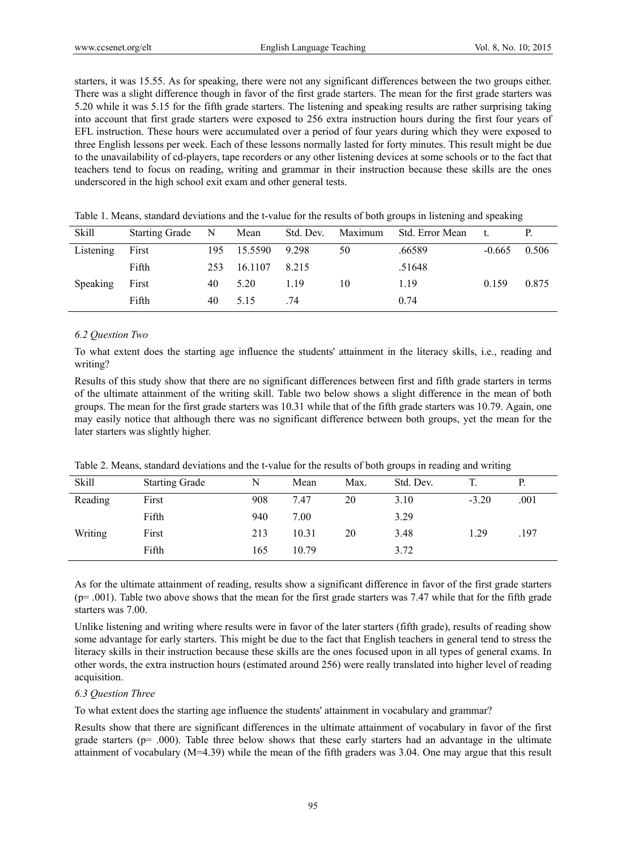starters, it was 15.55. As for speaking, there were not any significant differences between the two groups either. There was a slight difference though in favor of the first grade starters. The mean for the first grade starters was 5.20 while it was 5.15 for the fifth grade starters. The listening and speaking results are rather surprising taking into account that first grade starters were exposed to 256 extra instruction hours during the first four years of EFL instruction. These hours were accumulated over a period of four years during which they were exposed to three English lessons per week. Each of these lessons normally lasted for forty minutes. This result might be due to the unavailability of cd-players, tape recorders or any other listening devices at some schools or to the fact that teachers tend to focus on reading, writing and grammar in their instruction because these skills are the ones underscored in the high school exit exam and other general tests.

| Skill           | <b>Starting Grade</b> | N   | Mean    | Std. Dev. | Maximum | Std. Error Mean |          |       |
|-----------------|-----------------------|-----|---------|-----------|---------|-----------------|----------|-------|
| Listening       | First                 | 195 | 15.5590 | 9.298     | 50      | .66589          | $-0.665$ | 0.506 |
|                 | Fifth                 | 253 | 16.1107 | 8.215     |         | .51648          |          |       |
| <b>Speaking</b> | First                 | 40  | 5.20    | 1.19      | 10      | 1.19            | 0.159    | 0.875 |
|                 | Fifth                 | 40  | 5 1 5   | .74       |         | 0.74            |          |       |

Table 1. Means, standard deviations and the t-value for the results of both groups in listening and speaking

#### *6.2 Question Two*

To what extent does the starting age influence the students' attainment in the literacy skills, i.e., reading and writing?

Results of this study show that there are no significant differences between first and fifth grade starters in terms of the ultimate attainment of the writing skill. Table two below shows a slight difference in the mean of both groups. The mean for the first grade starters was 10.31 while that of the fifth grade starters was 10.79. Again, one may easily notice that although there was no significant difference between both groups, yet the mean for the later starters was slightly higher.

Table 2. Means, standard deviations and the t-value for the results of both groups in reading and writing

| Skill   | <b>Starting Grade</b> | N   | Mean  | Max. | Std. Dev. |         |      |
|---------|-----------------------|-----|-------|------|-----------|---------|------|
| Reading | First                 | 908 | 7.47  | 20   | 3.10      | $-3.20$ | .001 |
|         | Fifth                 | 940 | 7.00  |      | 3.29      |         |      |
| Writing | First                 | 213 | 10.31 | 20   | 3.48      | 1.29    | .197 |
|         | Fifth                 | 165 | 10.79 |      | 3.72      |         |      |

As for the ultimate attainment of reading, results show a significant difference in favor of the first grade starters  $(p= .001)$ . Table two above shows that the mean for the first grade starters was 7.47 while that for the fifth grade starters was 7.00.

Unlike listening and writing where results were in favor of the later starters (fifth grade), results of reading show some advantage for early starters. This might be due to the fact that English teachers in general tend to stress the literacy skills in their instruction because these skills are the ones focused upon in all types of general exams. In other words, the extra instruction hours (estimated around 256) were really translated into higher level of reading acquisition.

## *6.3 Question Three*

To what extent does the starting age influence the students' attainment in vocabulary and grammar?

Results show that there are significant differences in the ultimate attainment of vocabulary in favor of the first grade starters ( $p=$  .000). Table three below shows that these early starters had an advantage in the ultimate attainment of vocabulary (M=4.39) while the mean of the fifth graders was 3.04. One may argue that this result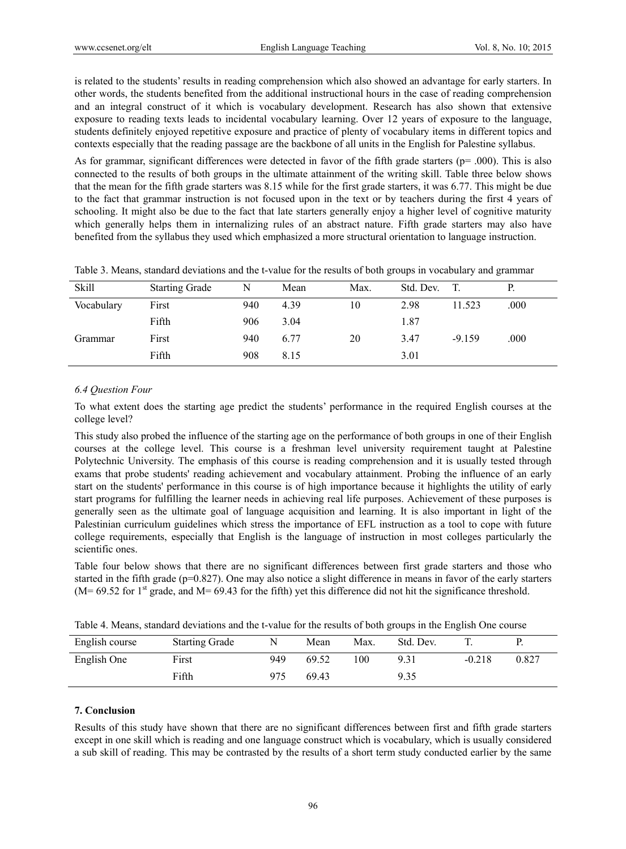is related to the students' results in reading comprehension which also showed an advantage for early starters. In other words, the students benefited from the additional instructional hours in the case of reading comprehension and an integral construct of it which is vocabulary development. Research has also shown that extensive exposure to reading texts leads to incidental vocabulary learning. Over 12 years of exposure to the language, students definitely enjoyed repetitive exposure and practice of plenty of vocabulary items in different topics and contexts especially that the reading passage are the backbone of all units in the English for Palestine syllabus.

As for grammar, significant differences were detected in favor of the fifth grade starters ( $p = .000$ ). This is also connected to the results of both groups in the ultimate attainment of the writing skill. Table three below shows that the mean for the fifth grade starters was 8.15 while for the first grade starters, it was 6.77. This might be due to the fact that grammar instruction is not focused upon in the text or by teachers during the first 4 years of schooling. It might also be due to the fact that late starters generally enjoy a higher level of cognitive maturity which generally helps them in internalizing rules of an abstract nature. Fifth grade starters may also have benefited from the syllabus they used which emphasized a more structural orientation to language instruction.

| <b>Skill</b> | <b>Starting Grade</b> | N   | Mean | Max. | Std. Dev. | T.      |      |
|--------------|-----------------------|-----|------|------|-----------|---------|------|
| Vocabulary   | First                 | 940 | 4.39 | 10   | 2.98      | 11.523  | .000 |
|              | Fifth                 | 906 | 3.04 |      | 1.87      |         |      |
| Grammar      | First                 | 940 | 6.77 | 20   | 3.47      | $-9159$ | .000 |
|              | Fifth                 | 908 | 8.15 |      | 3.01      |         |      |

Table 3. Means, standard deviations and the t-value for the results of both groups in vocabulary and grammar

## *6.4 Question Four*

To what extent does the starting age predict the students' performance in the required English courses at the college level?

This study also probed the influence of the starting age on the performance of both groups in one of their English courses at the college level. This course is a freshman level university requirement taught at Palestine Polytechnic University. The emphasis of this course is reading comprehension and it is usually tested through exams that probe students' reading achievement and vocabulary attainment. Probing the influence of an early start on the students' performance in this course is of high importance because it highlights the utility of early start programs for fulfilling the learner needs in achieving real life purposes. Achievement of these purposes is generally seen as the ultimate goal of language acquisition and learning. It is also important in light of the Palestinian curriculum guidelines which stress the importance of EFL instruction as a tool to cope with future college requirements, especially that English is the language of instruction in most colleges particularly the scientific ones.

Table four below shows that there are no significant differences between first grade starters and those who started in the fifth grade ( $p=0.827$ ). One may also notice a slight difference in means in favor of the early starters  $(M= 69.52$  for 1<sup>st</sup> grade, and M= 69.43 for the fifth) yet this difference did not hit the significance threshold.

| Table 4. Means, standard deviations and the t-value for the results of both groups in the English One course |  |  |  |
|--------------------------------------------------------------------------------------------------------------|--|--|--|
|                                                                                                              |  |  |  |

| English course | <b>Starting Grade</b> | N   | Mean  | Max. | Std. Dev. |          |       |
|----------------|-----------------------|-----|-------|------|-----------|----------|-------|
| English One    | First                 | 949 | 69.52 | 100  | 9.31      | $-0.218$ | 0.827 |
|                | Fifth                 | 975 | 69.43 |      | 9.35      |          |       |

## **7. Conclusion**

Results of this study have shown that there are no significant differences between first and fifth grade starters except in one skill which is reading and one language construct which is vocabulary, which is usually considered a sub skill of reading. This may be contrasted by the results of a short term study conducted earlier by the same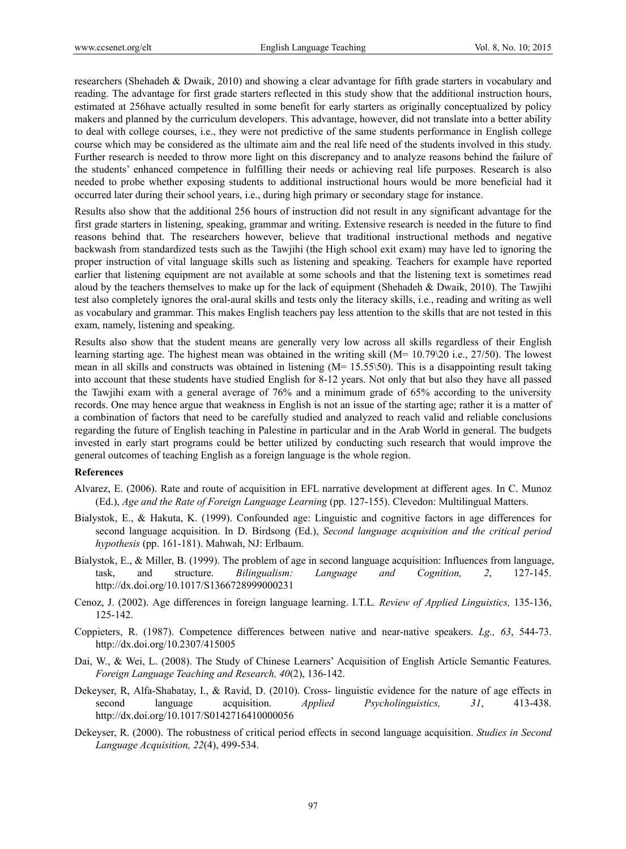researchers (Shehadeh & Dwaik, 2010) and showing a clear advantage for fifth grade starters in vocabulary and reading. The advantage for first grade starters reflected in this study show that the additional instruction hours, estimated at 256have actually resulted in some benefit for early starters as originally conceptualized by policy makers and planned by the curriculum developers. This advantage, however, did not translate into a better ability to deal with college courses, i.e., they were not predictive of the same students performance in English college course which may be considered as the ultimate aim and the real life need of the students involved in this study. Further research is needed to throw more light on this discrepancy and to analyze reasons behind the failure of the students' enhanced competence in fulfilling their needs or achieving real life purposes. Research is also needed to probe whether exposing students to additional instructional hours would be more beneficial had it occurred later during their school years, i.e., during high primary or secondary stage for instance.

Results also show that the additional 256 hours of instruction did not result in any significant advantage for the first grade starters in listening, speaking, grammar and writing. Extensive research is needed in the future to find reasons behind that. The researchers however, believe that traditional instructional methods and negative backwash from standardized tests such as the Tawjihi (the High school exit exam) may have led to ignoring the proper instruction of vital language skills such as listening and speaking. Teachers for example have reported earlier that listening equipment are not available at some schools and that the listening text is sometimes read aloud by the teachers themselves to make up for the lack of equipment (Shehadeh & Dwaik, 2010). The Tawjihi test also completely ignores the oral-aural skills and tests only the literacy skills, i.e., reading and writing as well as vocabulary and grammar. This makes English teachers pay less attention to the skills that are not tested in this exam, namely, listening and speaking.

Results also show that the student means are generally very low across all skills regardless of their English learning starting age. The highest mean was obtained in the writing skill (M= 10.79\20 i.e., 27/50). The lowest mean in all skills and constructs was obtained in listening  $(M= 15.55\sqrt{50})$ . This is a disappointing result taking into account that these students have studied English for 8-12 years. Not only that but also they have all passed the Tawjihi exam with a general average of 76% and a minimum grade of 65% according to the university records. One may hence argue that weakness in English is not an issue of the starting age; rather it is a matter of a combination of factors that need to be carefully studied and analyzed to reach valid and reliable conclusions regarding the future of English teaching in Palestine in particular and in the Arab World in general. The budgets invested in early start programs could be better utilized by conducting such research that would improve the general outcomes of teaching English as a foreign language is the whole region.

## **References**

- Alvarez, E. (2006). Rate and route of acquisition in EFL narrative development at different ages. In C. Munoz (Ed.), *Age and the Rate of Foreign Language Learning* (pp. 127-155). Clevedon: Multilingual Matters.
- Bialystok, E., & Hakuta, K. (1999). Confounded age: Linguistic and cognitive factors in age differences for second language acquisition. In D. Birdsong (Ed.), *Second language acquisition and the critical period hypothesis* (pp. 161-181). Mahwah, NJ: Erlbaum.
- Bialystok, E., & Miller, B. (1999). The problem of age in second language acquisition: Influences from language, task, and structure. *Bilingualism: Language and Cognition, 2*, 127-145. http://dx.doi.org/10.1017/S1366728999000231
- Cenoz, J. (2002). Age differences in foreign language learning. I.T.L*. Review of Applied Linguistics,* 135-136, 125-142.
- Coppieters, R. (1987). Competence differences between native and near-native speakers. *Lg., 63*, 544-73. http://dx.doi.org/10.2307/415005
- Dai, W., & Wei, L. (2008). The Study of Chinese Learners' Acquisition of English Article Semantic Features. *Foreign Language Teaching and Research, 40*(2), 136-142.
- Dekeyser, R, Alfa-Shabatay, I., & Ravid, D. (2010). Cross- linguistic evidence for the nature of age effects in second language acquisition. *Applied Psycholinguistics, 31*, 413-438. http://dx.doi.org/10.1017/S0142716410000056
- Dekeyser, R. (2000). The robustness of critical period effects in second language acquisition. *Studies in Second Language Acquisition, 22*(4), 499-534.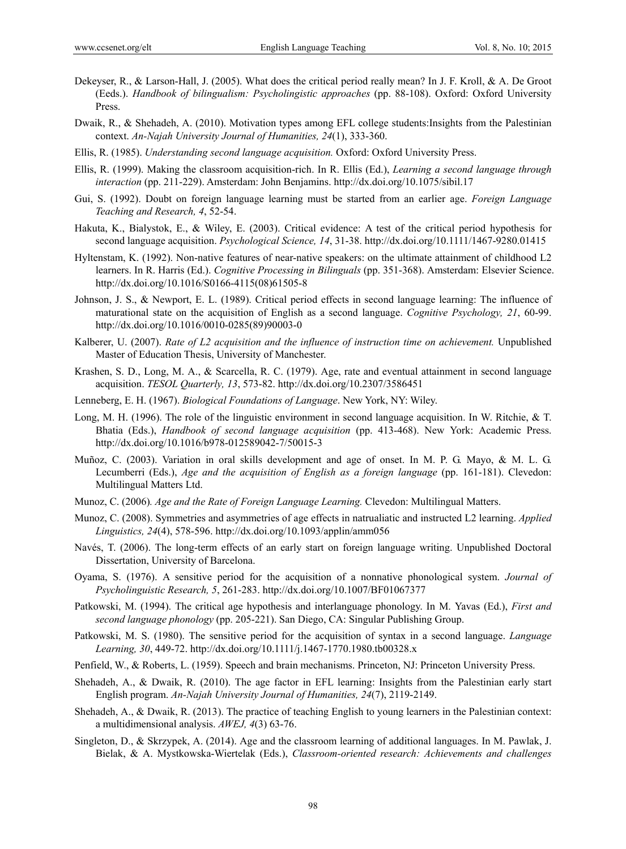- Dekeyser, R., & Larson-Hall, J. (2005). What does the critical period really mean? In J. F. Kroll, & A. De Groot (Eeds.). *Handbook of bilingualism: Psycholingistic approaches* (pp. 88-108). Oxford: Oxford University Press.
- Dwaik, R., & Shehadeh, A. (2010). Motivation types among EFL college students:Insights from the Palestinian context. *An-Najah University Journal of Humanities, 24*(1), 333-360.
- Ellis, R. (1985). *Understanding second language acquisition.* Oxford: Oxford University Press.
- Ellis, R. (1999). Making the classroom acquisition-rich. In R. Ellis (Ed.), *Learning a second language through interaction* (pp. 211-229). Amsterdam: John Benjamins. http://dx.doi.org/10.1075/sibil.17
- Gui, S. (1992). Doubt on foreign language learning must be started from an earlier age. *Foreign Language Teaching and Research, 4*, 52-54.
- Hakuta, K., Bialystok, E., & Wiley, E. (2003). Critical evidence: A test of the critical period hypothesis for second language acquisition. *Psychological Science, 14*, 31-38. http://dx.doi.org/10.1111/1467-9280.01415
- Hyltenstam, K. (1992). Non-native features of near-native speakers: on the ultimate attainment of childhood L2 learners. In R. Harris (Ed.). *Cognitive Processing in Bilinguals* (pp. 351-368). Amsterdam: Elsevier Science. http://dx.doi.org/10.1016/S0166-4115(08)61505-8
- Johnson, J. S., & Newport, E. L. (1989). Critical period effects in second language learning: The influence of maturational state on the acquisition of English as a second language. *Cognitive Psychology, 21*, 60-99. http://dx.doi.org/10.1016/0010-0285(89)90003-0
- Kalberer, U. (2007). *Rate of L2 acquisition and the influence of instruction time on achievement.* Unpublished Master of Education Thesis, University of Manchester.
- Krashen, S. D., Long, M. A., & Scarcella, R. C. (1979). Age, rate and eventual attainment in second language acquisition. *TESOL Quarterly, 13*, 573-82. http://dx.doi.org/10.2307/3586451
- Lenneberg, E. H. (1967). *Biological Foundations of Language*. New York, NY: Wiley.
- Long, M. H. (1996). The role of the linguistic environment in second language acquisition. In W. Ritchie, & T. Bhatia (Eds.), *Handbook of second language acquisition* (pp. 413-468). New York: Academic Press. http://dx.doi.org/10.1016/b978-012589042-7/50015-3
- Muñoz, C. (2003). Variation in oral skills development and age of onset. In M. P. G. Mayo, & M. L. G. Lecumberri (Eds.), *Age and the acquisition of English as a foreign language* (pp. 161-181). Clevedon: Multilingual Matters Ltd.
- Munoz, C. (2006)*. Age and the Rate of Foreign Language Learning.* Clevedon: Multilingual Matters.
- Munoz, C. (2008). Symmetries and asymmetries of age effects in natrualiatic and instructed L2 learning. *Applied Linguistics, 24*(4), 578-596. http://dx.doi.org/10.1093/applin/amm056
- Navés, T. (2006). The long-term effects of an early start on foreign language writing. Unpublished Doctoral Dissertation, University of Barcelona.
- Oyama, S. (1976). A sensitive period for the acquisition of a nonnative phonological system. *Journal of Psycholinguistic Research, 5*, 261-283. http://dx.doi.org/10.1007/BF01067377
- Patkowski, M. (1994). The critical age hypothesis and interlanguage phonology. In M. Yavas (Ed.), *First and second language phonology* (pp. 205-221). San Diego, CA: Singular Publishing Group.
- Patkowski, M. S. (1980). The sensitive period for the acquisition of syntax in a second language. *Language Learning, 30*, 449-72. http://dx.doi.org/10.1111/j.1467-1770.1980.tb00328.x
- Penfield, W., & Roberts, L. (1959). Speech and brain mechanisms. Princeton, NJ: Princeton University Press.
- Shehadeh, A., & Dwaik, R. (2010). The age factor in EFL learning: Insights from the Palestinian early start English program. *An-Najah University Journal of Humanities, 24*(7), 2119-2149.
- Shehadeh, A., & Dwaik, R. (2013). The practice of teaching English to young learners in the Palestinian context: a multidimensional analysis. *AWEJ, 4*(3) 63-76.
- Singleton, D., & Skrzypek, A. (2014). Age and the classroom learning of additional languages. In M. Pawlak, J. Bielak, & A. Mystkowska-Wiertelak (Eds.), *Classroom-oriented research: Achievements and challenges*